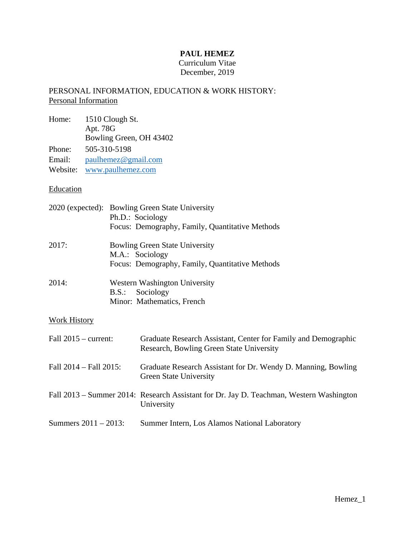## **PAUL HEMEZ**

## Curriculum Vitae December, 2019

PERSONAL INFORMATION, EDUCATION & WORK HISTORY: Personal Information

| Home:    | 1510 Clough St.         |  |  |  |
|----------|-------------------------|--|--|--|
|          | Apt. 78G                |  |  |  |
|          | Bowling Green, OH 43402 |  |  |  |
| Phone:   | 505-310-5198            |  |  |  |
| Email:   | paulhemez@gmail.com     |  |  |  |
| Website: | www.paulhemez.com       |  |  |  |
|          |                         |  |  |  |

# **Education**

|                         | 2020 (expected): Bowling Green State University<br>Ph.D.: Sociology<br>Focus: Demography, Family, Quantitative Methods |                                                                                                            |  |  |
|-------------------------|------------------------------------------------------------------------------------------------------------------------|------------------------------------------------------------------------------------------------------------|--|--|
| 2017:                   | <b>Bowling Green State University</b><br>M.A.: Sociology<br>Focus: Demography, Family, Quantitative Methods            |                                                                                                            |  |  |
| 2014:                   | Western Washington University<br>Sociology<br>B.S.:<br>Minor: Mathematics, French                                      |                                                                                                            |  |  |
| <b>Work History</b>     |                                                                                                                        |                                                                                                            |  |  |
| Fall $2015$ – current:  |                                                                                                                        | Graduate Research Assistant, Center for Family and Demographic<br>Research, Bowling Green State University |  |  |
| Fall 2014 - Fall 2015:  |                                                                                                                        | Graduate Research Assistant for Dr. Wendy D. Manning, Bowling<br>Green State University                    |  |  |
|                         |                                                                                                                        | Fall 2013 – Summer 2014: Research Assistant for Dr. Jay D. Teachman, Western Washington<br>University      |  |  |
| Summers $2011 - 2013$ : |                                                                                                                        | Summer Intern, Los Alamos National Laboratory                                                              |  |  |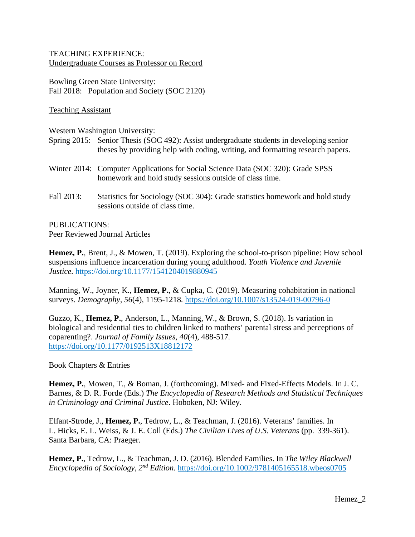## TEACHING EXPERIENCE: Undergraduate Courses as Professor on Record

Bowling Green State University: Fall 2018: Population and Society (SOC 2120)

## Teaching Assistant

Western Washington University:

- Spring 2015: Senior Thesis (SOC 492): Assist undergraduate students in developing senior theses by providing help with coding, writing, and formatting research papers.
- Winter 2014: Computer Applications for Social Science Data (SOC 320): Grade SPSS homework and hold study sessions outside of class time.
- Fall 2013: Statistics for Sociology (SOC 304): Grade statistics homework and hold study sessions outside of class time.

PUBLICATIONS: Peer Reviewed Journal Articles

**Hemez, P.**, Brent, J., & Mowen, T. (2019). Exploring the school-to-prison pipeline: How school suspensions influence incarceration during young adulthood. *Youth Violence and Juvenile Justice.* <https://doi.org/10.1177/1541204019880945>

Manning, W., Joyner, K., **Hemez, P.**, & Cupka, C. (2019). Measuring cohabitation in national surveys. *Demography, 56*(4), 1195-1218*.* <https://doi.org/10.1007/s13524-019-00796-0>

Guzzo, K., **Hemez, P.**, Anderson, L., Manning, W., & Brown, S. (2018). Is variation in biological and residential ties to children linked to mothers' parental stress and perceptions of coparenting?. *Journal of Family Issues, 40*(4), 488-517*.*  <https://doi.org/10.1177/0192513X18812172>

#### Book Chapters & Entries

**Hemez, P.**, Mowen, T., & Boman, J. (forthcoming). Mixed- and Fixed-Effects Models. In J. C. Barnes, & D. R. Forde (Eds.) *The Encyclopedia of Research Methods and Statistical Techniques in Criminology and Criminal Justice*. Hoboken, NJ: Wiley.

Elfant-Strode, J., **Hemez, P.**, Tedrow, L., & Teachman, J. (2016). Veterans' families. In L. Hicks, E. L. Weiss, & J. E. Coll (Eds.) *The Civilian Lives of U.S. Veterans* (pp. 339-361). Santa Barbara, CA: Praeger.

**Hemez, P.**, Tedrow, L., & Teachman, J. D. (2016). Blended Families. In *The Wiley Blackwell Encyclopedia of Sociology, 2nd Edition.* <https://doi.org/10.1002/9781405165518.wbeos0705>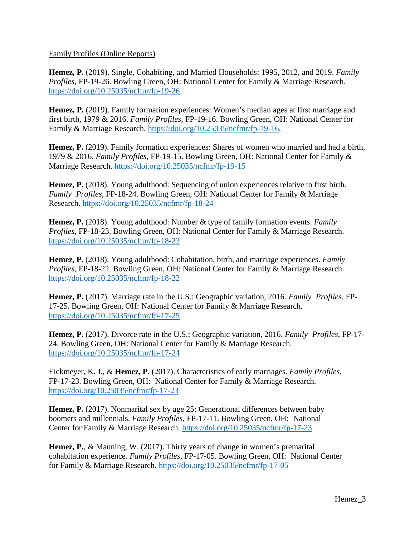Family Profiles (Online Reports)

**Hemez, P.** (2019). Single, Cohabiting, and Married Households: 1995, 2012, and 2019. *Family Profiles*, FP-19-26. Bowling Green, OH: National Center for Family & Marriage Research. [https://doi.org/10.25035/ncfmr/fp-19-26.](https://doi.org/10.25035/ncfmr/fp-19-26)

**Hemez, P.** (2019). Family formation experiences: Women's median ages at first marriage and first birth, 1979 & 2016. *Family Profiles*, FP-19-16. Bowling Green, OH: National Center for Family & Marriage Research. [https://doi.org/10.25035/ncfmr/fp-19-16](https://doi.org/10.25035/ncfmr/fp-19-15).

**Hemez, P.** (2019). Family formation experiences: Shares of women who married and had a birth, 1979 & 2016. *Family Profiles*, FP-19-15. Bowling Green, OH: National Center for Family & Marriage Research. <https://doi.org/10.25035/ncfmr/fp-19-15>

**Hemez, P.** (2018). Young adulthood: Sequencing of union experiences relative to first birth. *Family Profiles*, FP-18-24. Bowling Green, OH: National Center for Family & Marriage Research.<https://doi.org/10.25035/ncfmr/fp-18-24>

**Hemez, P.** (2018). Young adulthood: Number & type of family formation events. *Family Profiles*, FP-18-23. Bowling Green, OH: National Center for Family & Marriage Research. <https://doi.org/10.25035/ncfmr/fp-18-23>

**Hemez, P.** (2018). Young adulthood: Cohabitation, birth, and marriage experiences. *Family Profiles*, FP-18-22. Bowling Green, OH: National Center for Family & Marriage Research. <https://doi.org/10.25035/ncfmr/fp-18-22>

**Hemez, P.** (2017). Marriage rate in the U.S.: Geographic variation, 2016. *Family Profiles*, FP-17-25. Bowling Green, OH: National Center for Family & Marriage Research. <https://doi.org/10.25035/ncfmr/fp-17-25>

**Hemez, P.** (2017). Divorce rate in the U.S.: Geographic variation, 2016. *Family Profiles*, FP-17- 24. Bowling Green, OH: National Center for Family & Marriage Research. <https://doi.org/10.25035/ncfmr/fp-17-24>

Eickmeyer, K. J., & **Hemez, P.** (2017). Characteristics of early marriages. *Family Profiles,*  FP-17-23. Bowling Green, OH: National Center for Family & Marriage Research. <https://doi.org/10.25035/ncfmr/fp-17-23>

**Hemez, P.** (2017). Nonmarital sex by age 25: Generational differences between baby boomers and millennials. *Family Profiles*, FP-17-11. Bowling Green, OH: National Center for Family & Marriage Research. [https://doi.org/10.25035/ncfmr/fp-17-23](https://www.bgsu.edu/ncfmr/resources/data/family-profiles/hemez-nonmarital-sex-by-age-25-boomers-millennials-fp-17-11.html)

**Hemez, P.**, & Manning, W. (2017). Thirty years of change in women's premarital cohabitation experience. *Family Profiles*, FP-17-05. Bowling Green, OH: National Center for Family & Marriage Research. <https://doi.org/10.25035/ncfmr/fp-17-05>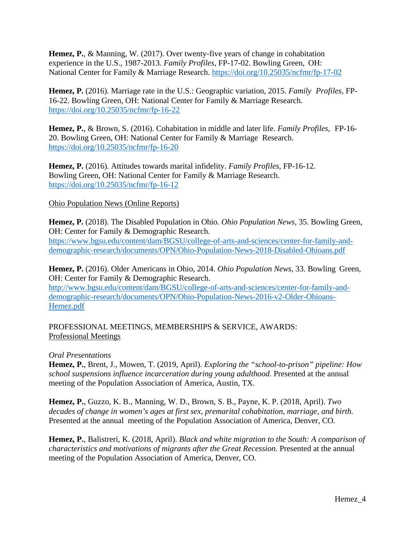**Hemez, P.**, & Manning, W. (2017). Over twenty-five years of change in cohabitation experience in the U.S., 1987-2013. *Family Profiles*, FP-17-02. Bowling Green, OH: National Center for Family & Marriage Research. [https://doi.org/10.25035/ncfmr/fp-17-02](https://www.bgsu.edu/ncfmr/resources/data/family-profiles/hemez-manning-25-years-change-cohabitation-fp-17-02.html)

**Hemez, P.** (2016). Marriage rate in the U.S.: Geographic variation, 2015. *Family Profiles*, FP-16-22. Bowling Green, OH: National Center for Family & Marriage Research. [https://doi.org/10.25035/ncfmr/fp-16-22](https://www.bgsu.edu/ncfmr/resources/data/family-profiles/hemez-marriage-rate-us-geo-2015-fp-16-22.html)

**Hemez, P.**, & Brown, S. (2016). Cohabitation in middle and later life. *Family Profiles*, FP-16- 20. Bowling Green, OH: National Center for Family & Marriage Research. [https://doi.org/10.25035/ncfmr/fp-16-20](https://www.bgsu.edu/ncfmr/resources/data/family-profiles/hemez-brown-cohabitation-middle-later-life-2014-fp-16-20.html)

**Hemez, P.** (2016). Attitudes towards marital infidelity. *Family Profiles*, FP-16-12. Bowling Green, OH: National Center for Family & Marriage Research. [https://doi.org/10.25035/ncfmr/fp-16-12](https://www.bgsu.edu/ncfmr/resources/data/family-profiles/hemez-attitudes-marital-infidelity-fp-16-12.html)

## Ohio Population News (Online Reports)

**Hemez, P.** (2018). The Disabled Population in Ohio. *Ohio Population News,* 35. Bowling Green, OH: Center for Family & Demographic Research.

[https://www.bgsu.edu/content/dam/BGSU/college-of-arts-and-sciences/center-for-family-and](https://www.bgsu.edu/content/dam/BGSU/college-of-arts-and-sciences/center-for-family-and-demographic-research/documents/OPN/Ohio-Population-News-2018-Disabled-Ohioans.pdf)[demographic-research/documents/OPN/Ohio-Population-News-2018-Disabled-Ohioans.pdf](https://www.bgsu.edu/content/dam/BGSU/college-of-arts-and-sciences/center-for-family-and-demographic-research/documents/OPN/Ohio-Population-News-2018-Disabled-Ohioans.pdf)

**Hemez, P.** (2016). Older Americans in Ohio, 2014. *Ohio Population News*, 33. Bowling Green, OH: Center for Family & Demographic Research.

[http://www.bgsu.edu/content/dam/BGSU/college-of-arts-and-sciences/center-for-family-and](http://www.bgsu.edu/content/dam/BGSU/college-of-arts-and-sciences/center-for-family-and-demographic-research/documents/OPN/Ohio-Population-News-2016-v2-Older-Ohioans-Hemez.pdf)[demographic-research/documents/OPN/Ohio-Population-News-2016-v2-Older-Ohioans-](http://www.bgsu.edu/content/dam/BGSU/college-of-arts-and-sciences/center-for-family-and-demographic-research/documents/OPN/Ohio-Population-News-2016-v2-Older-Ohioans-Hemez.pdf)[Hemez.pdf](http://www.bgsu.edu/content/dam/BGSU/college-of-arts-and-sciences/center-for-family-and-demographic-research/documents/OPN/Ohio-Population-News-2016-v2-Older-Ohioans-Hemez.pdf)

PROFESSIONAL MEETINGS, MEMBERSHIPS & SERVICE, AWARDS: Professional Meetings

#### *Oral Presentations*

**Hemez, P.**, Brent, J., Mowen, T. (2019, April). *Exploring the "school-to-prison" pipeline: How school suspensions influence incarceration during young adulthood.* Presented at the annual meeting of the Population Association of America, Austin, TX.

**Hemez, P.**, Guzzo, K. B., Manning, W. D., Brown, S. B., Payne, K. P. (2018, April). *Two decades of change in women's ages at first sex, premarital cohabitation, marriage, and birth.*  Presented at the annual meeting of the Population Association of America, Denver, CO.

**Hemez, P.**, Balistreri, K. (2018, April). *Black and white migration to the South: A comparison of characteristics and motivations of migrants after the Great Recession.* Presented at the annual meeting of the Population Association of America, Denver, CO.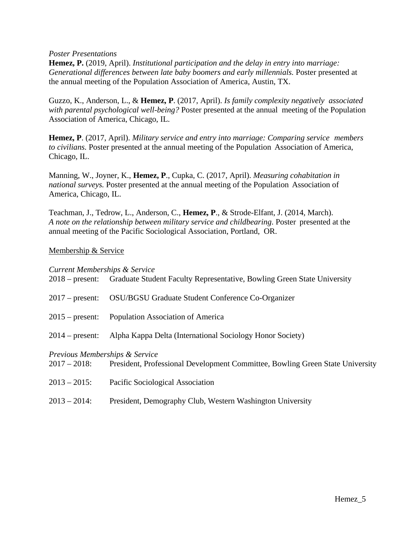#### *Poster Presentations*

**Hemez, P.** (2019, April). *Institutional participation and the delay in entry into marriage: Generational differences between late baby boomers and early millennials.* Poster presented at the annual meeting of the Population Association of America, Austin, TX.

Guzzo, K., Anderson, L., & **Hemez, P**. (2017, April). *Is family complexity negatively associated with parental psychological well-being?* Poster presented at the annual meeting of the Population Association of America, Chicago, IL.

**Hemez, P**. (2017, April). *Military service and entry into marriage: Comparing service members to civilians.* Poster presented at the annual meeting of the Population Association of America, Chicago, IL.

Manning, W., Joyner, K., **Hemez, P**., Cupka, C. (2017, April). *Measuring cohabitation in national surveys.* Poster presented at the annual meeting of the Population Association of America, Chicago, IL.

Teachman, J., Tedrow, L., Anderson, C., **Hemez, P**., & Strode-Elfant, J. (2014, March). *A note on the relationship between military service and childbearing*. Poster presented at the annual meeting of the Pacific Sociological Association, Portland, OR.

#### Membership & Service

#### *Current Memberships & Service*

| $2018$ – present:                                 | Graduate Student Faculty Representative, Bowling Green State University       |  |  |
|---------------------------------------------------|-------------------------------------------------------------------------------|--|--|
| $2017$ – present:                                 | OSU/BGSU Graduate Student Conference Co-Organizer                             |  |  |
| $2015$ – present:                                 | Population Association of America                                             |  |  |
| $2014$ – present:                                 | Alpha Kappa Delta (International Sociology Honor Society)                     |  |  |
| Previous Memberships & Service<br>$2017 - 2018$ : | President, Professional Development Committee, Bowling Green State University |  |  |
|                                                   |                                                                               |  |  |
| $2013 - 2015$ :                                   | Pacific Sociological Association                                              |  |  |
| $2013 - 2014$ :                                   | President, Demography Club, Western Washington University                     |  |  |